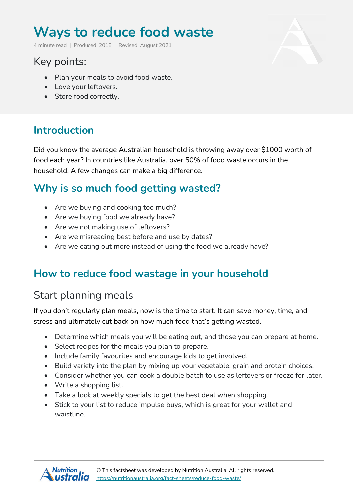# **Ways to reduce food waste**

4 minute read | Produced: 2018 | Revised: August 2021

# Key points:

- Plan your meals to avoid food waste.
- Love your leftovers.
- Store food correctly.

## **Introduction**

Did you know the average Australian household is throwing away over \$1000 worth of food each year? In countries like Australia, over 50% of food waste occurs in the household. A few changes can make a big difference.

#### **Why is so much food getting wasted?**

- Are we buying and cooking too much?
- Are we buying food we already have?
- Are we not making use of leftovers?
- Are we misreading best before and use by dates?
- Are we eating out more instead of using the food we already have?

## **How to reduce food wastage in your household**

## Start planning meals

If you don't regularly plan meals, now is the time to start. It can save money, time, and stress and ultimately cut back on how much food that's getting wasted.

- Determine which meals you will be eating out, and those you can prepare at home.
- Select recipes for the meals you plan to prepare.
- Include family favourites and encourage kids to get involved.
- Build variety into the plan by mixing up your vegetable, grain and protein choices.
- Consider whether you can cook a double batch to use as leftovers or freeze for later.
- Write a shopping list.
- Take a look at weekly specials to get the best deal when shopping.
- Stick to your list to reduce impulse buys, which is great for your wallet and waistline.